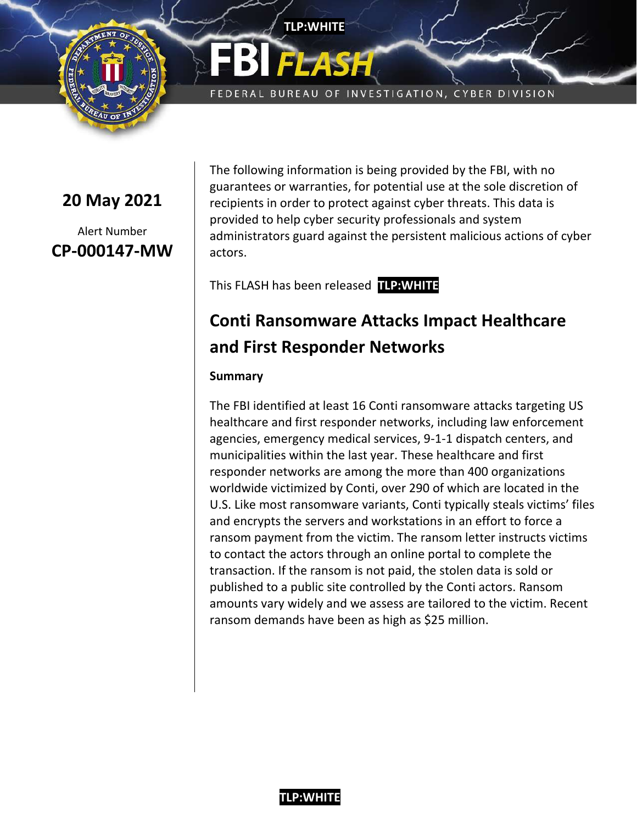

**20 May 2021**

Alert Number **CP-000147-MW**

The following information is being provided by the FBI, with no guarantees or warranties, for potential use at the sole discretion of recipients in order to protect against cyber threats. This data is provided to help cyber security professionals and system administrators guard against the persistent malicious actions of cyber actors.

FEDERAL BUREAU OF INVESTIGATION, CYBER DIVISION

This FLASH has been released **TLP:WHITE**

**TLP:WHITE**

# **Conti Ransomware Attacks Impact Healthcare and First Responder Networks**

#### **Summary**

The FBI identified at least 16 Conti ransomware attacks targeting US healthcare and first responder networks, including law enforcement agencies, emergency medical services, 9-1-1 dispatch centers, and municipalities within the last year. These healthcare and first responder networks are among the more than 400 organizations worldwide victimized by Conti, over 290 of which are located in the U.S. Like most ransomware variants, Conti typically steals victims' files and encrypts the servers and workstations in an effort to force a ransom payment from the victim. The ransom letter instructs victims to contact the actors through an online portal to complete the transaction. If the ransom is not paid, the stolen data is sold or published to a public site controlled by the Conti actors. Ransom amounts vary widely and we assess are tailored to the victim. Recent ransom demands have been as high as \$25 million.

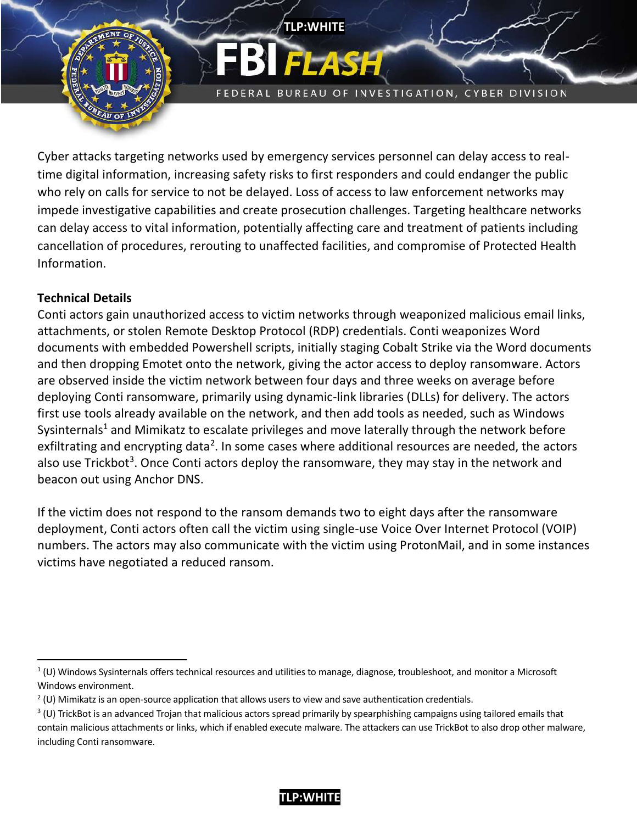

FEDERAL BUREAU OF INVESTIGATION, CYBER DIVISION

Cyber attacks targeting networks used by emergency services personnel can delay access to realtime digital information, increasing safety risks to first responders and could endanger the public who rely on calls for service to not be delayed. Loss of access to law enforcement networks may impede investigative capabilities and create prosecution challenges. Targeting healthcare networks can delay access to vital information, potentially affecting care and treatment of patients including cancellation of procedures, rerouting to unaffected facilities, and compromise of Protected Health Information.

**TLP:WHITE**

#### **Technical Details**

 $\overline{\phantom{a}}$ 

Conti actors gain unauthorized access to victim networks through weaponized malicious email links, attachments, or stolen Remote Desktop Protocol (RDP) credentials. Conti weaponizes Word documents with embedded Powershell scripts, initially staging Cobalt Strike via the Word documents and then dropping Emotet onto the network, giving the actor access to deploy ransomware. Actors are observed inside the victim network between four days and three weeks on average before deploying Conti ransomware, primarily using dynamic-link libraries (DLLs) for delivery. The actors first use tools already available on the network, and then add tools as needed, such as Windows Sysinternals<sup>1</sup> and Mimikatz to escalate privileges and move laterally through the network before exfiltrating and encrypting data<sup>2</sup>. In some cases where additional resources are needed, the actors also use Trickbot<sup>3</sup>. Once Conti actors deploy the ransomware, they may stay in the network and beacon out using Anchor DNS.

If the victim does not respond to the ransom demands two to eight days after the ransomware deployment, Conti actors often call the victim using single-use Voice Over Internet Protocol (VOIP) numbers. The actors may also communicate with the victim using ProtonMail, and in some instances victims have negotiated a reduced ransom.

 $1$  (U) Windows Sysinternals offers technical resources and utilities to manage, diagnose, troubleshoot, and monitor a Microsoft Windows environment.

 $2$  (U) Mimikatz is an open-source application that allows users to view and save authentication credentials.

 $3$  (U) TrickBot is an advanced Trojan that malicious actors spread primarily by spearphishing campaigns using tailored emails that contain malicious attachments or links, which if enabled execute malware. The attackers can use TrickBot to also drop other malware, including Conti ransomware.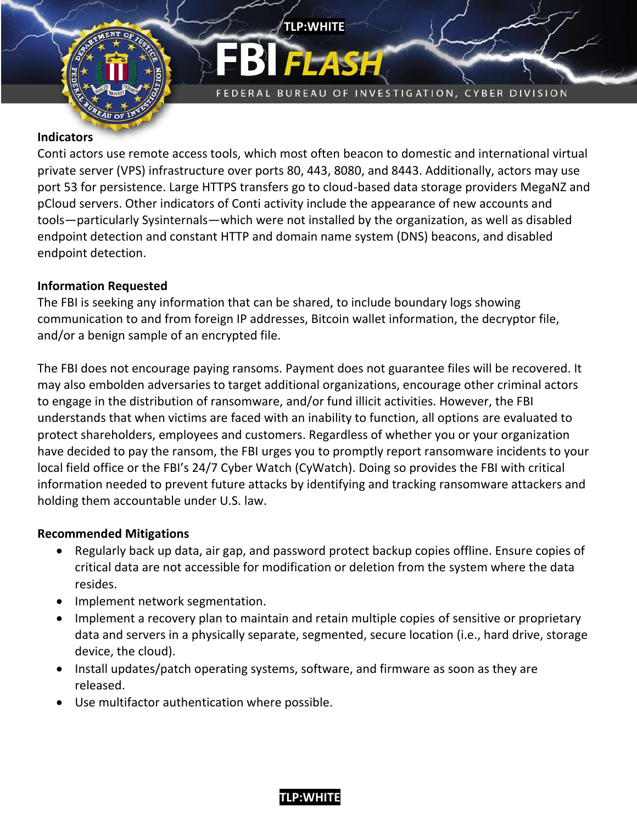

FEDERAL BUREAU OF INVESTIGATION, CYBER DIVISION

#### **Indicators**

Conti actors use remote access tools, which most often beacon to domestic and international virtual private server (VPS) infrastructure over ports 80, 443, 8080, and 8443. Additionally, actors may use port 53 for persistence. Large HTTPS transfers go to cloud-based data storage providers MegaNZ and pCloud servers. Other indicators of Conti activity include the appearance of new accounts and tools—particularly Sysinternals—which were not installed by the organization, as well as disabled endpoint detection and constant HTTP and domain name system (DNS) beacons, and disabled endpoint detection.

**TLP:WHITE**

#### **Information Requested**

The FBI is seeking any information that can be shared, to include boundary logs showing communication to and from foreign IP addresses, Bitcoin wallet information, the decryptor file, and/or a benign sample of an encrypted file.

The FBI does not encourage paying ransoms. Payment does not guarantee files will be recovered. It may also embolden adversaries to target additional organizations, encourage other criminal actors to engage in the distribution of ransomware, and/or fund illicit activities. However, the FBI understands that when victims are faced with an inability to function, all options are evaluated to protect shareholders, employees and customers. Regardless of whether you or your organization have decided to pay the ransom, the FBI urges you to promptly report ransomware incidents to your local field office or the FBI's 24/7 Cyber Watch (CyWatch). Doing so provides the FBI with critical information needed to prevent future attacks by identifying and tracking ransomware attackers and holding them accountable under U.S. law.

#### **Recommended Mitigations**

- Regularly back up data, air gap, and password protect backup copies offline. Ensure copies of critical data are not accessible for modification or deletion from the system where the data resides.
- Implement network segmentation.
- Implement a recovery plan to maintain and retain multiple copies of sensitive or proprietary data and servers in a physically separate, segmented, secure location (i.e., hard drive, storage device, the cloud).
- Install updates/patch operating systems, software, and firmware as soon as they are released.
- Use multifactor authentication where possible.

## **TLP:WHITE /**